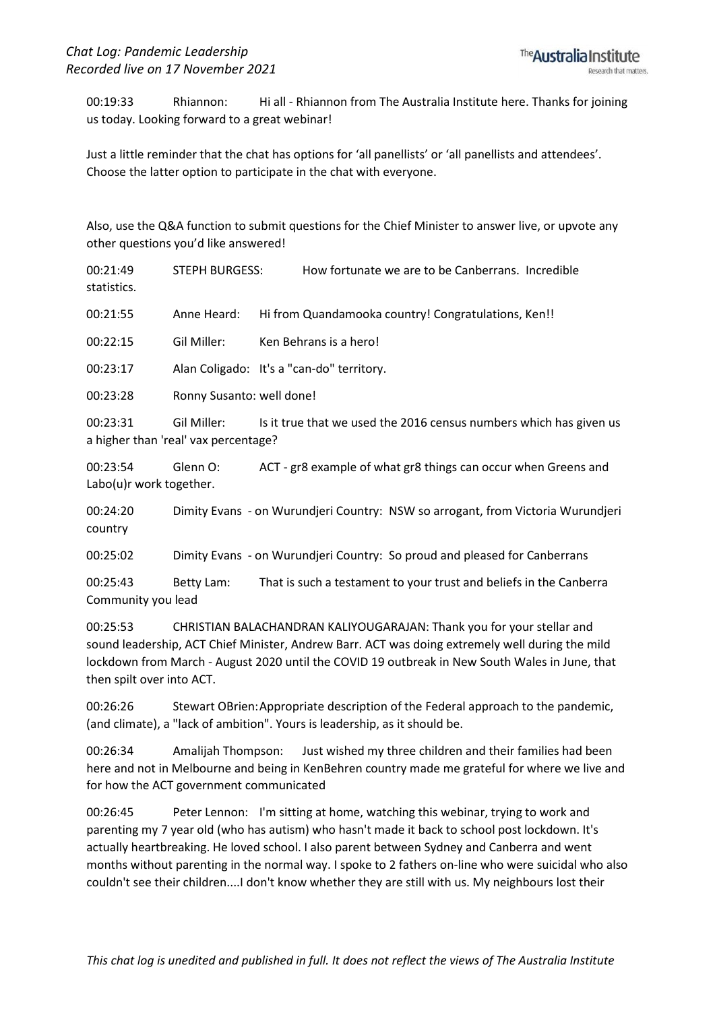00:19:33 Rhiannon: Hi all - Rhiannon from The Australia Institute here. Thanks for joining us today. Looking forward to a great webinar!

Just a little reminder that the chat has options for 'all panellists' or 'all panellists and attendees'. Choose the latter option to participate in the chat with everyone.

Also, use the Q&A function to submit questions for the Chief Minister to answer live, or upvote any other questions you'd like answered!

00:21:49 STEPH BURGESS: How fortunate we are to be Canberrans. Incredible statistics.

00:21:55 Anne Heard: Hi from Quandamooka country! Congratulations, Ken!!

00:22:15 Gil Miller: Ken Behrans is a hero!

00:23:17 Alan Coligado: It's a "can-do" territory.

00:23:28 Ronny Susanto: well done!

00:23:31 Gil Miller: Is it true that we used the 2016 census numbers which has given us a higher than 'real' vax percentage?

00:23:54 Glenn O: ACT - gr8 example of what gr8 things can occur when Greens and Labo(u)r work together.

00:24:20 Dimity Evans - on Wurundjeri Country: NSW so arrogant, from Victoria Wurundjeri country

00:25:02 Dimity Evans - on Wurundjeri Country: So proud and pleased for Canberrans

00:25:43 Betty Lam: That is such a testament to your trust and beliefs in the Canberra Community you lead

00:25:53 CHRISTIAN BALACHANDRAN KALIYOUGARAJAN: Thank you for your stellar and sound leadership, ACT Chief Minister, Andrew Barr. ACT was doing extremely well during the mild lockdown from March - August 2020 until the COVID 19 outbreak in New South Wales in June, that then spilt over into ACT.

00:26:26 Stewart OBrien:Appropriate description of the Federal approach to the pandemic, (and climate), a "lack of ambition". Yours is leadership, as it should be.

00:26:34 Amalijah Thompson: Just wished my three children and their families had been here and not in Melbourne and being in KenBehren country made me grateful for where we live and for how the ACT government communicated

00:26:45 Peter Lennon: I'm sitting at home, watching this webinar, trying to work and parenting my 7 year old (who has autism) who hasn't made it back to school post lockdown. It's actually heartbreaking. He loved school. I also parent between Sydney and Canberra and went months without parenting in the normal way. I spoke to 2 fathers on-line who were suicidal who also couldn't see their children....I don't know whether they are still with us. My neighbours lost their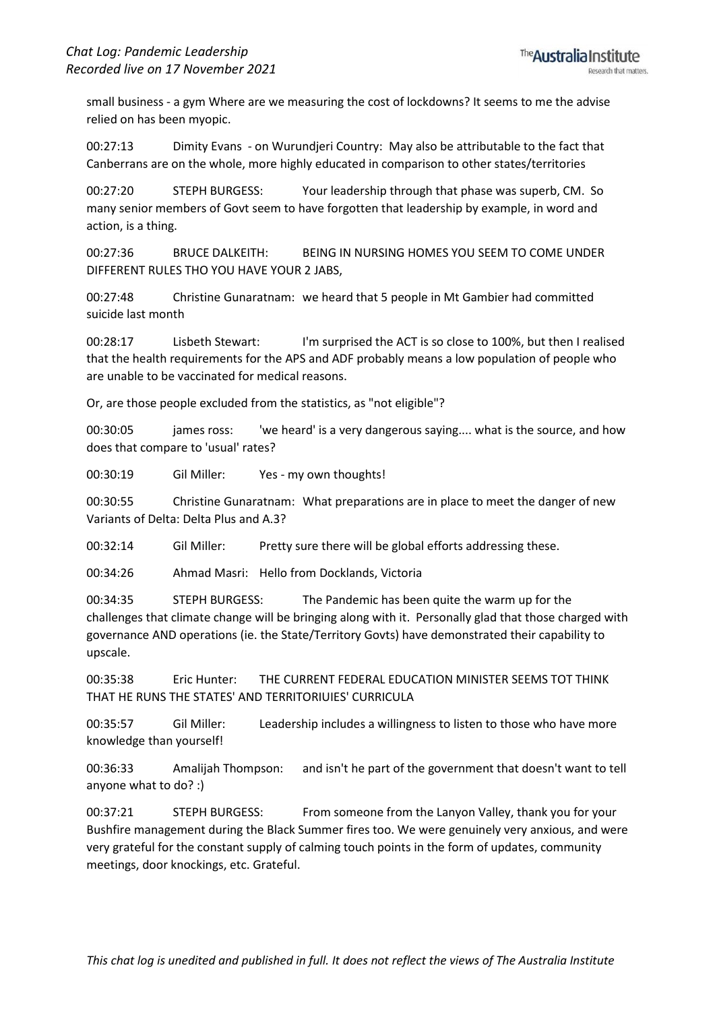small business - a gym Where are we measuring the cost of lockdowns? It seems to me the advise relied on has been myopic.

00:27:13 Dimity Evans - on Wurundjeri Country: May also be attributable to the fact that Canberrans are on the whole, more highly educated in comparison to other states/territories

00:27:20 STEPH BURGESS: Your leadership through that phase was superb, CM. So many senior members of Govt seem to have forgotten that leadership by example, in word and action, is a thing.

00:27:36 BRUCE DALKEITH: BEING IN NURSING HOMES YOU SEEM TO COME UNDER DIFFERENT RULES THO YOU HAVE YOUR 2 JABS,

00:27:48 Christine Gunaratnam: we heard that 5 people in Mt Gambier had committed suicide last month

00:28:17 Lisbeth Stewart: I'm surprised the ACT is so close to 100%, but then I realised that the health requirements for the APS and ADF probably means a low population of people who are unable to be vaccinated for medical reasons.

Or, are those people excluded from the statistics, as "not eligible"?

00:30:05 james ross: 'we heard' is a very dangerous saying.... what is the source, and how does that compare to 'usual' rates?

00:30:19 Gil Miller: Yes - my own thoughts!

00:30:55 Christine Gunaratnam: What preparations are in place to meet the danger of new Variants of Delta: Delta Plus and A.3?

00:32:14 Gil Miller: Pretty sure there will be global efforts addressing these.

00:34:26 Ahmad Masri: Hello from Docklands, Victoria

00:34:35 STEPH BURGESS: The Pandemic has been quite the warm up for the challenges that climate change will be bringing along with it. Personally glad that those charged with governance AND operations (ie. the State/Territory Govts) have demonstrated their capability to upscale.

00:35:38 Eric Hunter: THE CURRENT FEDERAL EDUCATION MINISTER SEEMS TOT THINK THAT HE RUNS THE STATES' AND TERRITORIUIES' CURRICULA

00:35:57 Gil Miller: Leadership includes a willingness to listen to those who have more knowledge than yourself!

00:36:33 Amalijah Thompson: and isn't he part of the government that doesn't want to tell anyone what to do? :)

00:37:21 STEPH BURGESS: From someone from the Lanyon Valley, thank you for your Bushfire management during the Black Summer fires too. We were genuinely very anxious, and were very grateful for the constant supply of calming touch points in the form of updates, community meetings, door knockings, etc. Grateful.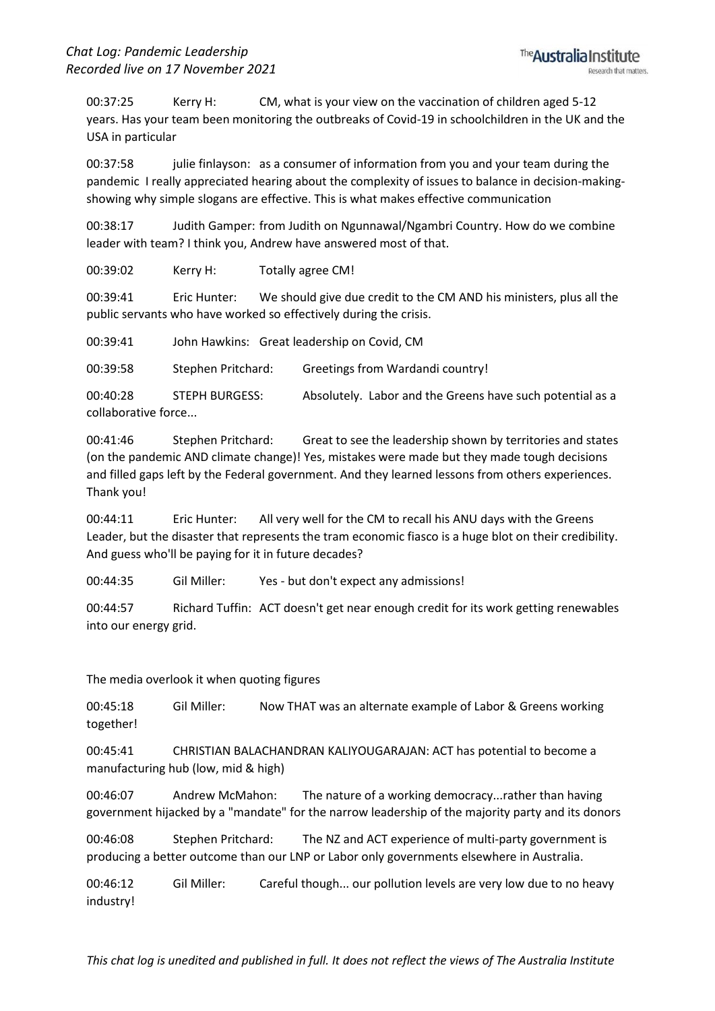00:37:25 Kerry H: CM, what is your view on the vaccination of children aged 5-12 years. Has your team been monitoring the outbreaks of Covid-19 in schoolchildren in the UK and the USA in particular

00:37:58 julie finlayson: as a consumer of information from you and your team during the pandemic I really appreciated hearing about the complexity of issues to balance in decision-makingshowing why simple slogans are effective. This is what makes effective communication

00:38:17 Judith Gamper: from Judith on Ngunnawal/Ngambri Country. How do we combine leader with team? I think you, Andrew have answered most of that.

00:39:02 Kerry H: Totally agree CM!

00:39:41 Eric Hunter: We should give due credit to the CM AND his ministers, plus all the public servants who have worked so effectively during the crisis.

00:39:41 John Hawkins: Great leadership on Covid, CM

00:39:58 Stephen Pritchard: Greetings from Wardandi country!

00:40:28 STEPH BURGESS: Absolutely. Labor and the Greens have such potential as a collaborative force...

00:41:46 Stephen Pritchard: Great to see the leadership shown by territories and states (on the pandemic AND climate change)! Yes, mistakes were made but they made tough decisions and filled gaps left by the Federal government. And they learned lessons from others experiences. Thank you!

00:44:11 Eric Hunter: All very well for the CM to recall his ANU days with the Greens Leader, but the disaster that represents the tram economic fiasco is a huge blot on their credibility. And guess who'll be paying for it in future decades?

00:44:35 Gil Miller: Yes - but don't expect any admissions!

00:44:57 Richard Tuffin: ACT doesn't get near enough credit for its work getting renewables into our energy grid.

The media overlook it when quoting figures

00:45:18 Gil Miller: Now THAT was an alternate example of Labor & Greens working together!

00:45:41 CHRISTIAN BALACHANDRAN KALIYOUGARAJAN: ACT has potential to become a manufacturing hub (low, mid & high)

00:46:07 Andrew McMahon: The nature of a working democracy...rather than having government hijacked by a "mandate" for the narrow leadership of the majority party and its donors

00:46:08 Stephen Pritchard: The NZ and ACT experience of multi-party government is producing a better outcome than our LNP or Labor only governments elsewhere in Australia.

00:46:12 Gil Miller: Careful though... our pollution levels are very low due to no heavy industry!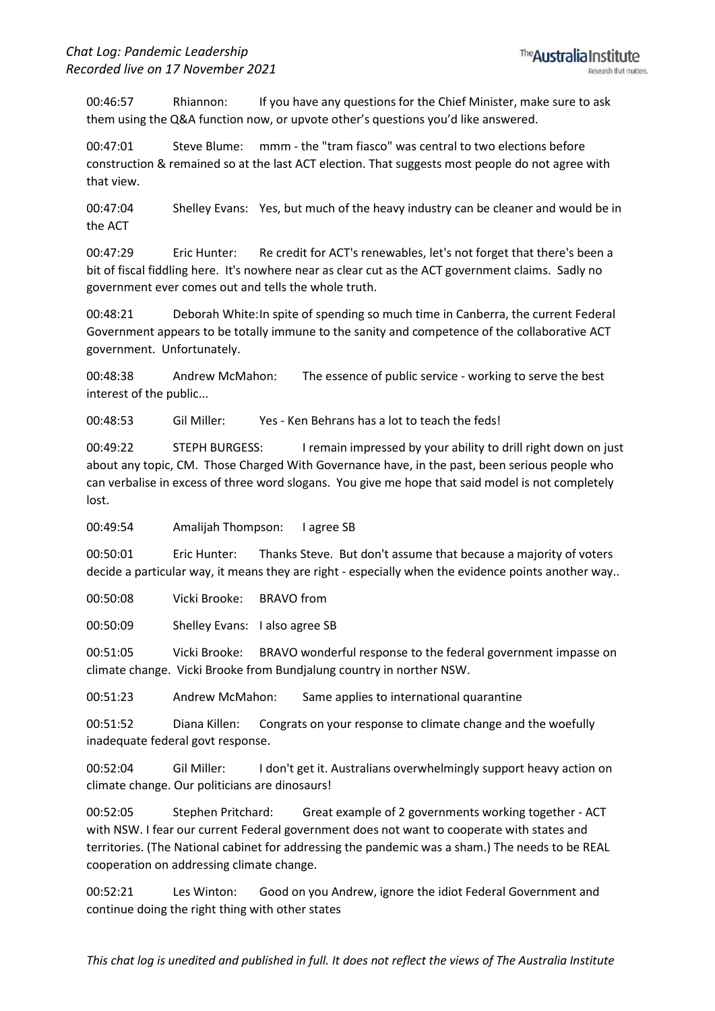00:46:57 Rhiannon: If you have any questions for the Chief Minister, make sure to ask them using the Q&A function now, or upvote other's questions you'd like answered.

00:47:01 Steve Blume: mmm - the "tram fiasco" was central to two elections before construction & remained so at the last ACT election. That suggests most people do not agree with that view.

00:47:04 Shelley Evans: Yes, but much of the heavy industry can be cleaner and would be in the ACT

00:47:29 Eric Hunter: Re credit for ACT's renewables, let's not forget that there's been a bit of fiscal fiddling here. It's nowhere near as clear cut as the ACT government claims. Sadly no government ever comes out and tells the whole truth.

00:48:21 Deborah White:In spite of spending so much time in Canberra, the current Federal Government appears to be totally immune to the sanity and competence of the collaborative ACT government. Unfortunately.

00:48:38 Andrew McMahon: The essence of public service - working to serve the best interest of the public...

00:48:53 Gil Miller: Yes - Ken Behrans has a lot to teach the feds!

00:49:22 STEPH BURGESS: I remain impressed by your ability to drill right down on just about any topic, CM. Those Charged With Governance have, in the past, been serious people who can verbalise in excess of three word slogans. You give me hope that said model is not completely lost.

00:49:54 Amalijah Thompson: I agree SB

00:50:01 Eric Hunter: Thanks Steve. But don't assume that because a majority of voters decide a particular way, it means they are right - especially when the evidence points another way..

00:50:08 Vicki Brooke: BRAVO from

00:50:09 Shelley Evans: I also agree SB

00:51:05 Vicki Brooke: BRAVO wonderful response to the federal government impasse on climate change. Vicki Brooke from Bundjalung country in norther NSW.

00:51:23 Andrew McMahon: Same applies to international quarantine

00:51:52 Diana Killen: Congrats on your response to climate change and the woefully inadequate federal govt response.

00:52:04 Gil Miller: I don't get it. Australians overwhelmingly support heavy action on climate change. Our politicians are dinosaurs!

00:52:05 Stephen Pritchard: Great example of 2 governments working together - ACT with NSW. I fear our current Federal government does not want to cooperate with states and territories. (The National cabinet for addressing the pandemic was a sham.) The needs to be REAL cooperation on addressing climate change.

00:52:21 Les Winton: Good on you Andrew, ignore the idiot Federal Government and continue doing the right thing with other states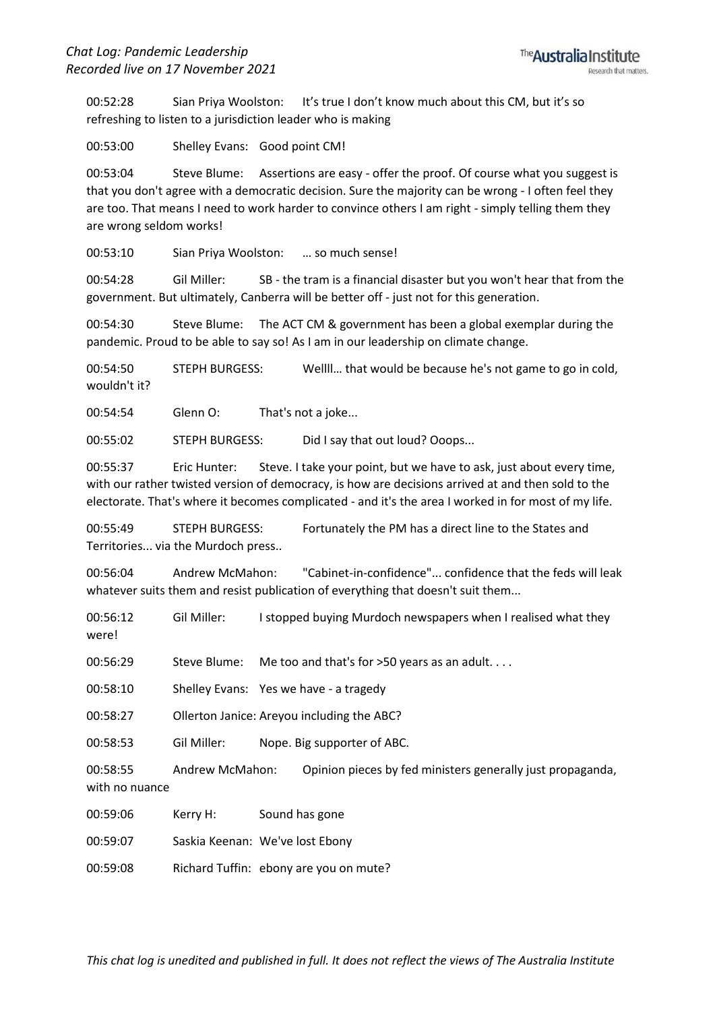00:52:28 Sian Priya Woolston: It's true I don't know much about this CM, but it's so refreshing to listen to a jurisdiction leader who is making

00:53:00 Shelley Evans: Good point CM!

00:53:04 Steve Blume: Assertions are easy - offer the proof. Of course what you suggest is that you don't agree with a democratic decision. Sure the majority can be wrong - I often feel they are too. That means I need to work harder to convince others I am right - simply telling them they are wrong seldom works!

00:53:10 Sian Priya Woolston: … so much sense!

00:54:28 Gil Miller: SB - the tram is a financial disaster but you won't hear that from the government. But ultimately, Canberra will be better off - just not for this generation.

00:54:30 Steve Blume: The ACT CM & government has been a global exemplar during the pandemic. Proud to be able to say so! As I am in our leadership on climate change.

00:54:50 STEPH BURGESS: Wellll… that would be because he's not game to go in cold, wouldn't it?

00:54:54 Glenn O: That's not a joke...

00:55:02 STEPH BURGESS: Did I say that out loud? Ooops...

00:55:37 Eric Hunter: Steve. I take your point, but we have to ask, just about every time, with our rather twisted version of democracy, is how are decisions arrived at and then sold to the electorate. That's where it becomes complicated - and it's the area I worked in for most of my life.

00:55:49 STEPH BURGESS: Fortunately the PM has a direct line to the States and Territories... via the Murdoch press..

00:56:04 Andrew McMahon: "Cabinet-in-confidence"... confidence that the feds will leak whatever suits them and resist publication of everything that doesn't suit them...

00:56:12 Gil Miller: I stopped buying Murdoch newspapers when I realised what they were!

00:56:29 Steve Blume: Me too and that's for >50 years as an adult....

00:58:10 Shelley Evans: Yes we have - a tragedy

00:58:27 Ollerton Janice: Areyou including the ABC?

00:58:53 Gil Miller: Nope. Big supporter of ABC.

00:58:55 Andrew McMahon: Opinion pieces by fed ministers generally just propaganda, with no nuance

00:59:06 Kerry H: Sound has gone

00:59:07 Saskia Keenan: We've lost Ebony

00:59:08 Richard Tuffin: ebony are you on mute?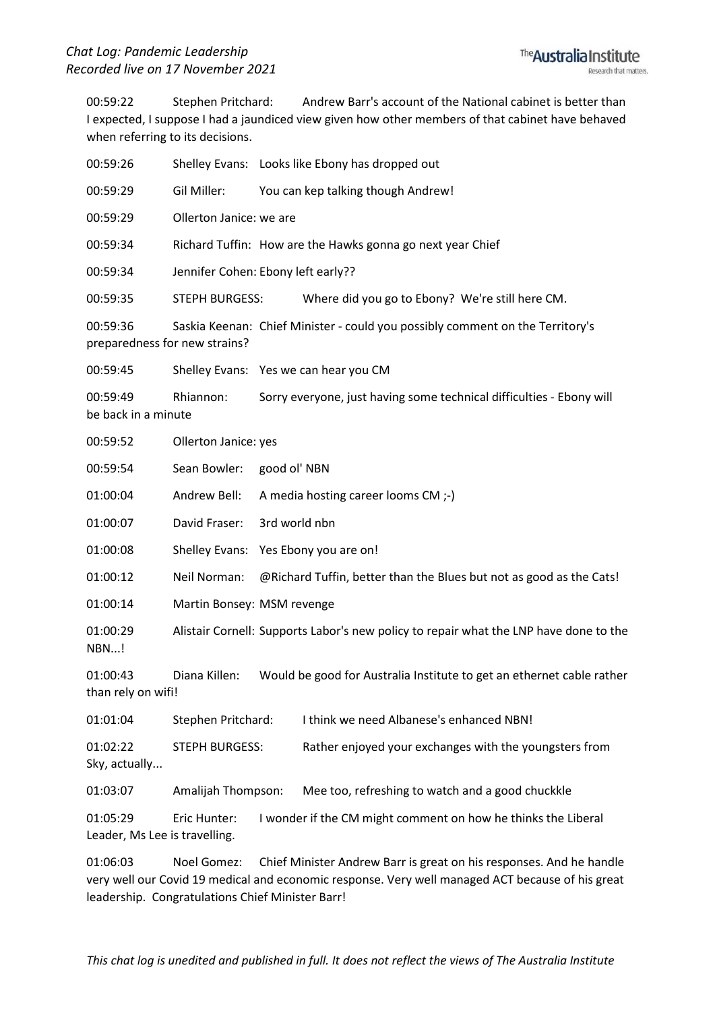00:59:22 Stephen Pritchard: Andrew Barr's account of the National cabinet is better than I expected, I suppose I had a jaundiced view given how other members of that cabinet have behaved when referring to its decisions.

| 00:59:26                                  |                                                                                       | Shelley Evans: Looks like Ebony has dropped out                     |                                                                       |  |  |  |
|-------------------------------------------|---------------------------------------------------------------------------------------|---------------------------------------------------------------------|-----------------------------------------------------------------------|--|--|--|
| 00:59:29                                  | Gil Miller:                                                                           | You can kep talking though Andrew!                                  |                                                                       |  |  |  |
| 00:59:29                                  | Ollerton Janice: we are                                                               |                                                                     |                                                                       |  |  |  |
| 00:59:34                                  |                                                                                       | Richard Tuffin: How are the Hawks gonna go next year Chief          |                                                                       |  |  |  |
| 00:59:34                                  | Jennifer Cohen: Ebony left early??                                                    |                                                                     |                                                                       |  |  |  |
| 00:59:35                                  | <b>STEPH BURGESS:</b>                                                                 |                                                                     | Where did you go to Ebony? We're still here CM.                       |  |  |  |
| 00:59:36<br>preparedness for new strains? | Saskia Keenan: Chief Minister - could you possibly comment on the Territory's         |                                                                     |                                                                       |  |  |  |
| 00:59:45                                  |                                                                                       | Shelley Evans: Yes we can hear you CM                               |                                                                       |  |  |  |
| 00:59:49<br>be back in a minute           | Rhiannon:<br>Sorry everyone, just having some technical difficulties - Ebony will     |                                                                     |                                                                       |  |  |  |
| 00:59:52                                  | Ollerton Janice: yes                                                                  |                                                                     |                                                                       |  |  |  |
| 00:59:54                                  | Sean Bowler:                                                                          | good ol' NBN                                                        |                                                                       |  |  |  |
| 01:00:04                                  | Andrew Bell:                                                                          | A media hosting career looms CM ;-)                                 |                                                                       |  |  |  |
| 01:00:07                                  | David Fraser:                                                                         | 3rd world nbn                                                       |                                                                       |  |  |  |
| 01:00:08                                  | Shelley Evans:                                                                        | Yes Ebony you are on!                                               |                                                                       |  |  |  |
| 01:00:12                                  | Neil Norman:                                                                          | @Richard Tuffin, better than the Blues but not as good as the Cats! |                                                                       |  |  |  |
| 01:00:14                                  | Martin Bonsey: MSM revenge                                                            |                                                                     |                                                                       |  |  |  |
| 01:00:29<br><b>NBN!</b>                   | Alistair Cornell: Supports Labor's new policy to repair what the LNP have done to the |                                                                     |                                                                       |  |  |  |
| 01:00:43<br>than rely on wifi!            | Diana Killen:                                                                         |                                                                     | Would be good for Australia Institute to get an ethernet cable rather |  |  |  |
| 01:01:04                                  | Stephen Pritchard:                                                                    |                                                                     | I think we need Albanese's enhanced NBN!                              |  |  |  |
| 01:02:22<br>Sky, actually                 | <b>STEPH BURGESS:</b>                                                                 |                                                                     | Rather enjoyed your exchanges with the youngsters from                |  |  |  |
| 01:03:07                                  | Amalijah Thompson:                                                                    |                                                                     | Mee too, refreshing to watch and a good chuckkle                      |  |  |  |
| 01:05:29<br>Leader, Ms Lee is travelling. | Eric Hunter:<br>I wonder if the CM might comment on how he thinks the Liberal         |                                                                     |                                                                       |  |  |  |

01:06:03 Noel Gomez: Chief Minister Andrew Barr is great on his responses. And he handle very well our Covid 19 medical and economic response. Very well managed ACT because of his great leadership. Congratulations Chief Minister Barr!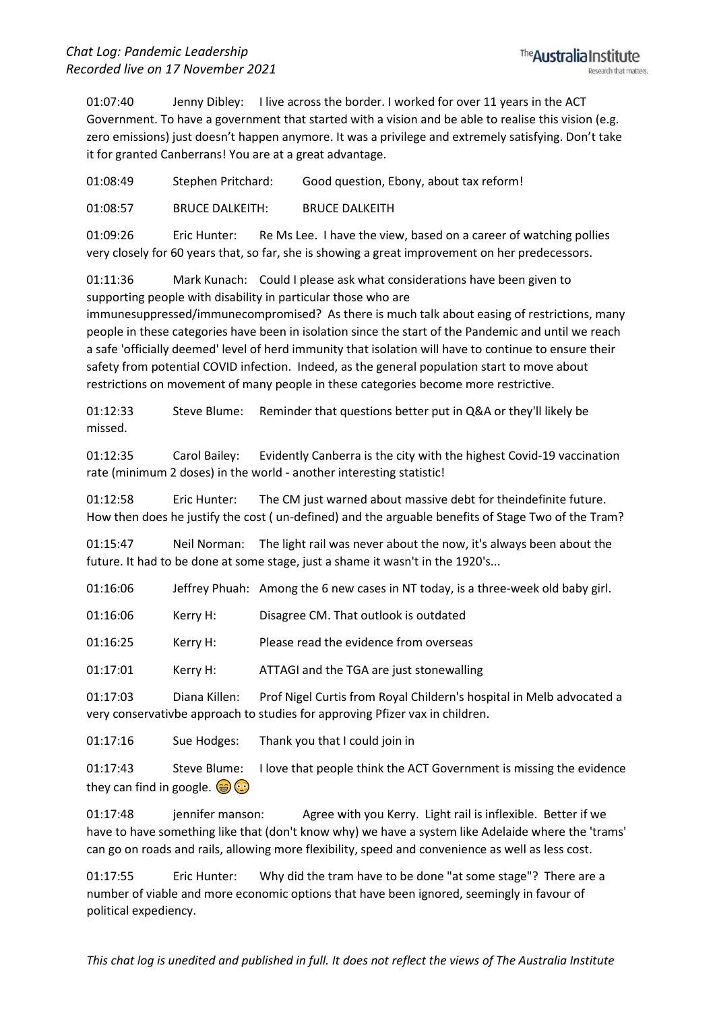01:07:40 Jenny Dibley: I live across the border. I worked for over 11 years in the ACT Government. To have a government that started with a vision and be able to realise this vision (e.g. zero emissions) just doesn't happen anymore. It was a privilege and extremely satisfying. Don't take it for granted Canberrans! You are at a great advantage.

01:08:49 Stephen Pritchard: Good question, Ebony, about tax reform!

01:08:57 BRUCE DALKEITH: BRUCE DALKEITH

01:09:26 Eric Hunter: Re Ms Lee. I have the view, based on a career of watching pollies very closely for 60 years that, so far, she is showing a great improvement on her predecessors.

01:11:36 Mark Kunach: Could I please ask what considerations have been given to supporting people with disability in particular those who are

immunesuppressed/immunecompromised? As there is much talk about easing of restrictions, many people in these categories have been in isolation since the start of the Pandemic and until we reach a safe 'officially deemed' level of herd immunity that isolation will have to continue to ensure their safety from potential COVID infection. Indeed, as the general population start to move about restrictions on movement of many people in these categories become more restrictive.

01:12:33 Steve Blume: Reminder that questions better put in Q&A or they'll likely be missed.

01:12:35 Carol Bailey: Evidently Canberra is the city with the highest Covid-19 vaccination rate (minimum 2 doses) in the world - another interesting statistic!

01:12:58 Eric Hunter: The CM just warned about massive debt for theindefinite future. How then does he justify the cost ( un-defined) and the arguable benefits of Stage Two of the Tram?

01:15:47 Neil Norman: The light rail was never about the now, it's always been about the future. It had to be done at some stage, just a shame it wasn't in the 1920's...

01:16:06 Jeffrey Phuah: Among the 6 new cases in NT today, is a three-week old baby girl.

01:16:06 Kerry H: Disagree CM. That outlook is outdated

01:16:25 Kerry H: Please read the evidence from overseas

01:17:01 Kerry H: ATTAGI and the TGA are just stonewalling

01:17:03 Diana Killen: Prof Nigel Curtis from Royal Childern's hospital in Melb advocated a very conservativbe approach to studies for approving Pfizer vax in children.

01:17:16 Sue Hodges: Thank you that I could join in

01:17:43 Steve Blume: I love that people think the ACT Government is missing the evidence they can find in google.  $\circledast$ 

01:17:48 jennifer manson: Agree with you Kerry. Light rail is inflexible. Better if we have to have something like that (don't know why) we have a system like Adelaide where the 'trams' can go on roads and rails, allowing more flexibility, speed and convenience as well as less cost.

01:17:55 Eric Hunter: Why did the tram have to be done "at some stage"? There are a number of viable and more economic options that have been ignored, seemingly in favour of political expediency.